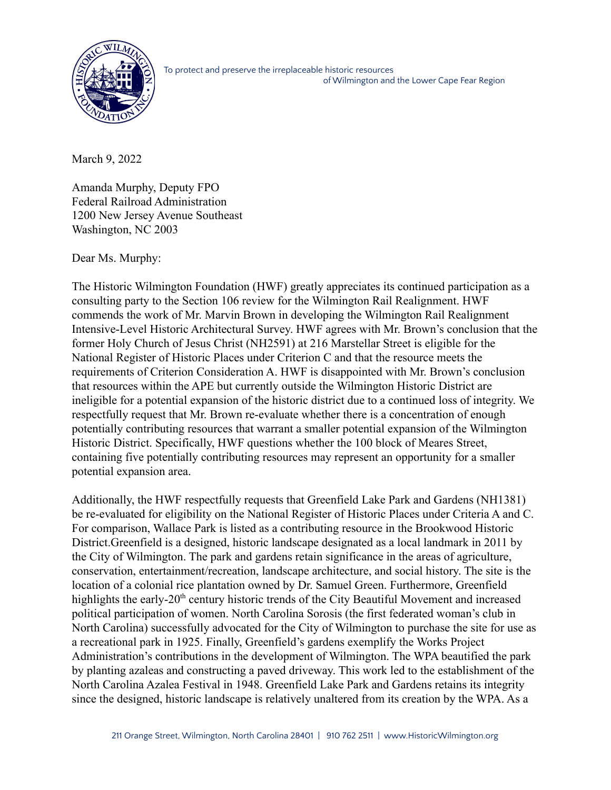

To protect and preserve the irreplaceable historic resources of Wilmington and the Lower Cape Fear Region

March 9, 2022

Amanda Murphy, Deputy FPO Federal Railroad Administration 1200 New Jersey Avenue Southeast Washington, NC 2003

Dear Ms. Murphy:

The Historic Wilmington Foundation (HWF) greatly appreciates its continued participation as a consulting party to the Section 106 review for the Wilmington Rail Realignment. HWF commends the work of Mr. Marvin Brown in developing the Wilmington Rail Realignment Intensive-Level Historic Architectural Survey. HWF agrees with Mr. Brown's conclusion that the former Holy Church of Jesus Christ (NH2591) at 216 Marstellar Street is eligible for the National Register of Historic Places under Criterion C and that the resource meets the requirements of Criterion Consideration A. HWF is disappointed with Mr. Brown's conclusion that resources within the APE but currently outside the Wilmington Historic District are ineligible for a potential expansion of the historic district due to a continued loss of integrity. We respectfully request that Mr. Brown re-evaluate whether there is a concentration of enough potentially contributing resources that warrant a smaller potential expansion of the Wilmington Historic District. Specifically, HWF questions whether the 100 block of Meares Street, containing five potentially contributing resources may represent an opportunity for a smaller potential expansion area.

Additionally, the HWF respectfully requests that Greenfield Lake Park and Gardens (NH1381) be re-evaluated for eligibility on the National Register of Historic Places under Criteria A and C. For comparison, Wallace Park is listed as a contributing resource in the Brookwood Historic District.Greenfield is a designed, historic landscape designated as a local landmark in 2011 by the City of Wilmington. The park and gardens retain significance in the areas of agriculture, conservation, entertainment/recreation, landscape architecture, and social history. The site is the location of a colonial rice plantation owned by Dr. Samuel Green. Furthermore, Greenfield highlights the early-20<sup>th</sup> century historic trends of the City Beautiful Movement and increased political participation of women. North Carolina Sorosis (the first federated woman's club in North Carolina) successfully advocated for the City of Wilmington to purchase the site for use as a recreational park in 1925. Finally, Greenfield's gardens exemplify the Works Project Administration's contributions in the development of Wilmington. The WPA beautified the park by planting azaleas and constructing a paved driveway. This work led to the establishment of the North Carolina Azalea Festival in 1948. Greenfield Lake Park and Gardens retains its integrity since the designed, historic landscape is relatively unaltered from its creation by the WPA. As a